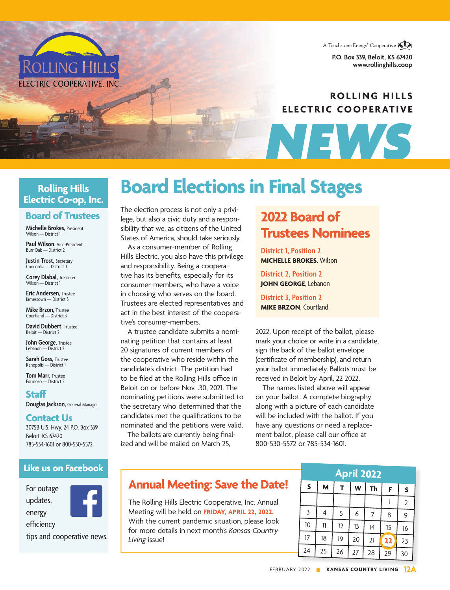

**P.O. Box 339, Beloit, KS 67420** www.rollinghills.com

### **ROLLING HILLS ELECTRIC COOPERATIVE**

*NEWS*

### **Rolling Hills Electric Co-op, Inc.**

**ROLLING HILL** 

ELECTRIC COOPERATIVE, INC

### **Board of Trustees**

**Michelle Brokes,** President Wilson — District 1

**Paul Wilson,** Vice-President Burr Oak — District 2

**Justin Trost,** Secretary Concordia — District 3

**Corey Dlabal,** Treasurer Wilson — District 1

**Eric Andersen,** Trustee Jamestown — District 3

**Mike Brzon, Trustee** Courtland — District 3

**David Dubbert**, Trustee Beloit — District 2

**John George,** Trustee Lebanon — District 2

**Sarah Goss,** Trustee Kanopolis — District 1

**Tom Marr,** Trustee Formoso — District 2

**Staff Douglas Jackson,** General Manager

### **Contact Us**

3075B U.S. Hwy. 24 P.O. Box 339 Beloit, KS 67420 785-534-1601 or 800-530-5572

### **Like us on Facebook**

For outage

efficiency

updates, energy



tips and cooperative news.

# **Board Elections in Final Stages**

The election process is not only a privilege, but also a civic duty and a responsibility that we, as citizens of the United States of America, should take seriously.

As a consumer-member of Rolling Hills Electric, you also have this privilege and responsibility. Being a cooperative has its benefits, especially for its consumer-members, who have a voice in choosing who serves on the board. Trustees are elected representatives and act in the best interest of the cooperative's consumer-members.

A trustee candidate submits a nominating petition that contains at least 20 signatures of current members of the cooperative who reside within the candidate's district. The petition had to be filed at the Rolling Hills office in Beloit on or before Nov. .30, 2021. The nominating petitions were submitted to the secretary who determined that the candidates met the qualifications to be nominated and the petitions were valid.

The ballots are currently being finalized and will be mailed on March 25,

## **2022 Board of Trustees Nominees**

**District 1, Position 2 MICHELLE BROKES**, Wilson

**District 2, Position 2 JOHN GEORGE**, Lebanon

**District 3, Position 2 MIKE BRZON**, Courtland

2022. Upon receipt of the ballot, please mark your choice or write in a candidate, sign the back of the ballot envelope (certificate of membership), and return your ballot immediately. Ballots must be received in Beloit by April, 22 2022.

The names listed above will appear on your ballot. A complete biography along with a picture of each candidate will be included with the ballot. If you have any questions or need a replacement ballot, please call our office at 800-530-5572 or 785-534-1601.

| <b>April 2022</b> |    |    |    |    |    |                |  |
|-------------------|----|----|----|----|----|----------------|--|
| $\mathsf{s}$      | M  | T  | W  | Th | F  | S              |  |
|                   |    |    |    |    |    | $\overline{2}$ |  |
| 3                 | 4  | 5  | 6  | 7  | 8  | 9              |  |
| 10                | 11 | 12 | 13 | 14 | 15 | 16             |  |
| 17                | 18 | 19 | 20 | 21 | 22 | 23             |  |
| 24                | 25 | 26 | 27 | 28 | 29 | 30             |  |

### **Annual Meeting: Save the Date!**

The Rolling Hills Electric Cooperative, Inc. Annual Meeting will be held on **FRIDAY, APRIL 22, 2022.**  With the current pandemic situation, please look for more details in next month's *Kansas Country Living* issue!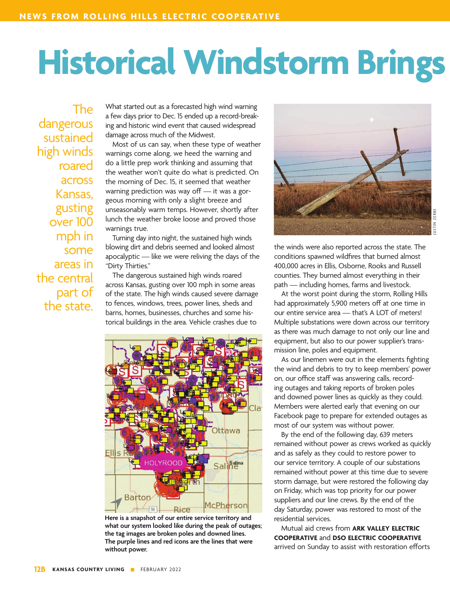# **Historical Windstorm Brings**

The dangerous sustained high winds roared across Kansas, gusting over 100 mph in some areas in the central part of the state.

What started out as a forecasted high wind warning a few days prior to Dec. 15 ended up a record-breaking and historic wind event that caused widespread damage across much of the Midwest.

Most of us can say, when these type of weather warnings come along, we heed the warning and do a little prep work thinking and assuming that the weather won't quite do what is predicted. On the morning of Dec. 15, it seemed that weather warning prediction was way off — it was a gorgeous morning with only a slight breeze and unseasonably warm temps. However, shortly after lunch the weather broke loose and proved those warnings true.

Turning day into night, the sustained high winds blowing dirt and debris seemed and looked almost apocalyptic — like we were reliving the days of the "Dirty Thirties."

The dangerous sustained high winds roared across Kansas, gusting over 100 mph in some areas of the state. The high winds caused severe damage to fences, windows, trees, power lines, sheds and barns, homes, businesses, churches and some historical buildings in the area. Vehicle crashes due to



**Here is a snapshot of our entire service territory and what our system looked like during the peak of outages; the tag images are broken poles and downed lines. The purple lines and red icons are the lines that were without power.**



the winds were also reported across the state. The conditions spawned wildfires that burned almost 400,000 acres in Ellis, Osborne, Rooks and Russell counties. They burned almost everything in their path — including homes, farms and livestock.

At the worst point during the storm, Rolling Hills had approximately 5,900 meters off at one time in our entire service area — that's A LOT of meters! Multiple substations were down across our territory as there was much damage to not only our line and equipment, but also to our power supplier's transmission line, poles and equipment.

As our linemen were out in the elements fighting the wind and debris to try to keep members' power on, our office staff was answering calls, recording outages and taking reports of broken poles and downed power lines as quickly as they could. Members were alerted early that evening on our Facebook page to prepare for extended outages as most of our system was without power.

By the end of the following day, 639 meters remained without power as crews worked as quickly and as safely as they could to restore power to our service territory. A couple of our substations remained without power at this time due to severe storm damage, but were restored the following day on Friday, which was top priority for our power suppliers and our line crews. By the end of the day Saturday, power was restored to most of the residential services.

Mutual aid crews from **ARK VALLEY ELECTRIC COOPERATIVE** and **DSO ELECTRIC COOPERATIVE** arrived on Sunday to assist with restoration efforts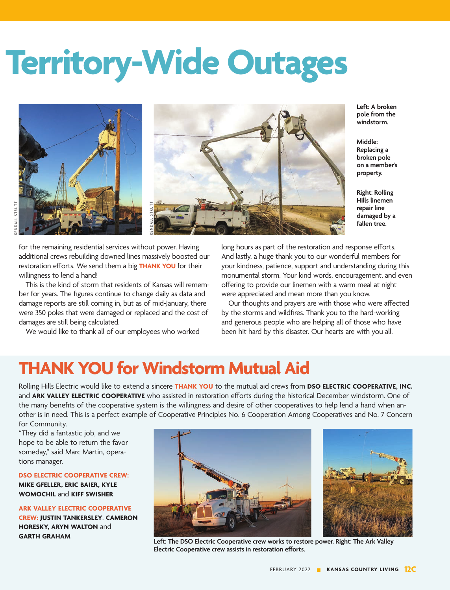# **gs Territory-Wide Outages**



for the remaining residential services without power. Having additional crews rebuilding downed lines massively boosted our restoration efforts. We send them a big **THANK YOU** for their willingness to lend a hand!

This is the kind of storm that residents of Kansas will remember for years. The figures continue to change daily as data and damage reports are still coming in, but as of mid-January, there were 350 poles that were damaged or replaced and the cost of damages are still being calculated.

We would like to thank all of our employees who worked

**Left: A broken pole from the windstorm.** 

**Middle: Replacing a broken pole on a member's property.** 

**Right: Rolling Hills linemen repair line damaged by a fallen tree.** 

long hours as part of the restoration and response efforts. And lastly, a huge thank you to our wonderful members for your kindness, patience, support and understanding during this monumental storm. Your kind words, encouragement, and even offering to provide our linemen with a warm meal at night were appreciated and mean more than you know.

Our thoughts and prayers are with those who were affected by the storms and wildfires. Thank you to the hard-working and generous people who are helping all of those who have been hit hard by this disaster. Our hearts are with you all.

## **THANK YOU for Windstorm Mutual Aid**

Rolling Hills Electric would like to extend a sincere **THANK YOU** to the mutual aid crews from **DSO ELECTRIC COOPERATIVE, INC.**  and **ARK VALLEY ELECTRIC COOPERATIVE** who assisted in restoration efforts during the historical December windstorm. One of the many benefits of the cooperative system is the willingness and desire of other cooperatives to help lend a hand when another is in need. This is a perfect example of Cooperative Principles No. 6 Cooperation Among Cooperatives and No. 7 Concern for Community.

"They did a fantastic job, and we hope to be able to return the favor someday," said Marc Martin, operations manager.

#### **DSO ELECTRIC COOPERATIVE CREW:**

**MIKE GFELLER, ERIC BAIER, KYLE WOMOCHIL** and **KIFF SWISHER**

### **ARK VALLEY ELECTRIC COOPERATIVE**

**CREW: JUSTIN TANKERSLEY**, **CAMERON HORESKY, ARYN WALTON** and



**GARTH GRAHAM Left: The DSO Electric Cooperative crew works to restore power. Right: The Ark Valley Electric Cooperative crew assists in restoration efforts.**